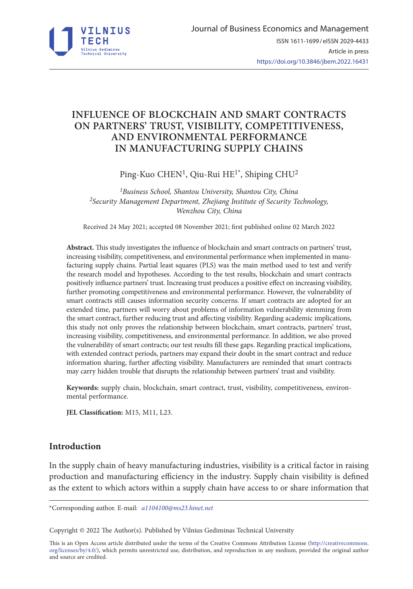

# **INFLUENCE OF BLOCKCHAIN AND SMART CONTRACTS ON PARTNERS' TRUST, VISIBILITY, COMPETITIVENESS, AND ENVIRONMENTAL PERFORMANCE IN MANUFACTURING SUPPLY CHAINS**

Ping-Kuo CHEN<sup>1</sup>, Qiu-Rui HE<sup>1\*</sup>, Shiping CHU<sup>2</sup>

*1Business School, Shantou University, Shantou City, China 2Security Management Department, Zhejiang Institute of Security Technology, Wenzhou City, China*

Received 24 May 2021; accepted 08 November 2021; first published online 02 March 2022

**Abstract.** This study investigates the influence of blockchain and smart contracts on partners' trust, increasing visibility, competitiveness, and environmental performance when implemented in manufacturing supply chains. Partial least squares (PLS) was the main method used to test and verify the research model and hypotheses. According to the test results, blockchain and smart contracts positively influence partners' trust. Increasing trust produces a positive effect on increasing visibility, further promoting competitiveness and environmental performance. However, the vulnerability of smart contracts still causes information security concerns. If smart contracts are adopted for an extended time, partners will worry about problems of information vulnerability stemming from the smart contract, further reducing trust and affecting visibility. Regarding academic implications, this study not only proves the relationship between blockchain, smart contracts, partners' trust, increasing visibility, competitiveness, and environmental performance. In addition, we also proved the vulnerability of smart contracts; our test results fill these gaps. Regarding practical implications, with extended contract periods, partners may expand their doubt in the smart contract and reduce information sharing, further affecting visibility. Manufacturers are reminded that smart contracts may carry hidden trouble that disrupts the relationship between partners' trust and visibility.

**Keywords:** supply chain, blockchain, smart contract, trust, visibility, competitiveness, environmental performance.

**JEL Classification:** M15, M11, L23.

## **Introduction**

In the supply chain of heavy manufacturing industries, visibility is a critical factor in raising production and manufacturing efficiency in the industry. Supply chain visibility is defined as the extent to which actors within a supply chain have access to or share information that

\*Corresponding author. E-mail: *a1104100@ms23.hinet.net*

Copyright © 2022 The Author(s). Published by Vilnius Gediminas Technical University

This is an Open Access article distributed under the terms of the Creative Commons Attribution License ([http://creativecommons.](http://creativecommons.org/licenses/by/4.0/) [org/licenses/by/4.0/\)](http://creativecommons.org/licenses/by/4.0/), which permits unrestricted use, distribution, and reproduction in any medium, provided the original author and source are credited.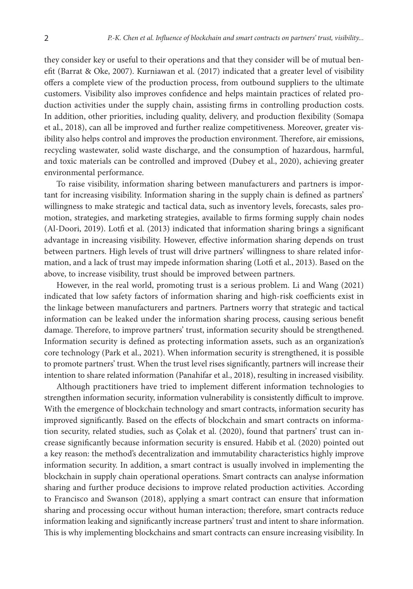they consider key or useful to their operations and that they consider will be of mutual benefit (Barrat & Oke, 2007). Kurniawan et al. (2017) indicated that a greater level of visibility offers a complete view of the production process, from outbound suppliers to the ultimate customers. Visibility also improves confidence and helps maintain practices of related production activities under the supply chain, assisting firms in controlling production costs. In addition, other priorities, including quality, delivery, and production flexibility (Somapa et al., 2018), can all be improved and further realize competitiveness. Moreover, greater visibility also helps control and improves the production environment. Therefore, air emissions, recycling wastewater, solid waste discharge, and the consumption of hazardous, harmful, and toxic materials can be controlled and improved (Dubey et al., 2020), achieving greater environmental performance.

To raise visibility, information sharing between manufacturers and partners is important for increasing visibility. Information sharing in the supply chain is defined as partners' willingness to make strategic and tactical data, such as inventory levels, forecasts, sales promotion, strategies, and marketing strategies, available to firms forming supply chain nodes (Al-Doori, 2019). Lotfi et al. (2013) indicated that information sharing brings a significant advantage in increasing visibility. However, effective information sharing depends on trust between partners. High levels of trust will drive partners' willingness to share related information, and a lack of trust may impede information sharing (Lotfi et al., 2013). Based on the above, to increase visibility, trust should be improved between partners.

However, in the real world, promoting trust is a serious problem. Li and Wang (2021) indicated that low safety factors of information sharing and high-risk coefficients exist in the linkage between manufacturers and partners. Partners worry that strategic and tactical information can be leaked under the information sharing process, causing serious benefit damage. Therefore, to improve partners' trust, information security should be strengthened. Information security is defined as protecting information assets, such as an organization's core technology (Park et al., 2021). When information security is strengthened, it is possible to promote partners' trust. When the trust level rises significantly, partners will increase their intention to share related information (Panahifar et al., 2018), resulting in increased visibility.

Although practitioners have tried to implement different information technologies to strengthen information security, information vulnerability is consistently difficult to improve. With the emergence of blockchain technology and smart contracts, information security has improved significantly. Based on the effects of blockchain and smart contracts on information security, related studies, such as Çolak et al. (2020), found that partners' trust can increase significantly because information security is ensured. Habib et al. (2020) pointed out a key reason: the method's decentralization and immutability characteristics highly improve information security. In addition, a smart contract is usually involved in implementing the blockchain in supply chain operational operations. Smart contracts can analyse information sharing and further produce decisions to improve related production activities. According to Francisco and Swanson (2018), applying a smart contract can ensure that information sharing and processing occur without human interaction; therefore, smart contracts reduce information leaking and significantly increase partners' trust and intent to share information. This is why implementing blockchains and smart contracts can ensure increasing visibility. In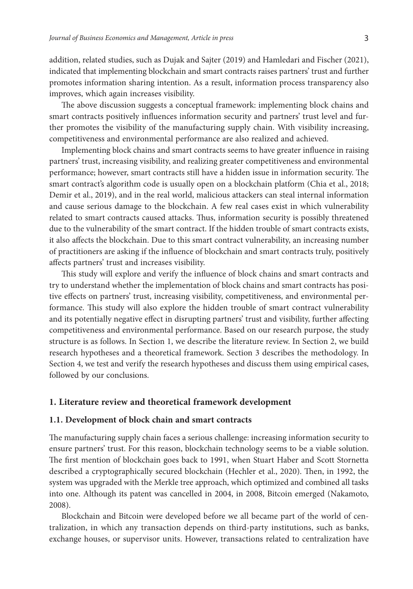addition, related studies, such as Dujak and Sajter (2019) and Hamledari and Fischer (2021), indicated that implementing blockchain and smart contracts raises partners' trust and further promotes information sharing intention. As a result, information process transparency also improves, which again increases visibility.

The above discussion suggests a conceptual framework: implementing block chains and smart contracts positively influences information security and partners' trust level and further promotes the visibility of the manufacturing supply chain. With visibility increasing, competitiveness and environmental performance are also realized and achieved.

Implementing block chains and smart contracts seems to have greater influence in raising partners' trust, increasing visibility, and realizing greater competitiveness and environmental performance; however, smart contracts still have a hidden issue in information security. The smart contract's algorithm code is usually open on a blockchain platform (Chia et al., 2018; Demir et al., 2019), and in the real world, malicious attackers can steal internal information and cause serious damage to the blockchain. A few real cases exist in which vulnerability related to smart contracts caused attacks. Thus, information security is possibly threatened due to the vulnerability of the smart contract. If the hidden trouble of smart contracts exists, it also affects the blockchain. Due to this smart contract vulnerability, an increasing number of practitioners are asking if the influence of blockchain and smart contracts truly, positively affects partners' trust and increases visibility.

This study will explore and verify the influence of block chains and smart contracts and try to understand whether the implementation of block chains and smart contracts has positive effects on partners' trust, increasing visibility, competitiveness, and environmental performance. This study will also explore the hidden trouble of smart contract vulnerability and its potentially negative effect in disrupting partners' trust and visibility, further affecting competitiveness and environmental performance. Based on our research purpose, the study structure is as follows. In Section 1, we describe the literature review. In Section 2, we build research hypotheses and a theoretical framework. Section 3 describes the methodology. In Section 4, we test and verify the research hypotheses and discuss them using empirical cases, followed by our conclusions.

## **1. Literature review and theoretical framework development**

#### **1.1. Development of block chain and smart contracts**

The manufacturing supply chain faces a serious challenge: increasing information security to ensure partners' trust. For this reason, blockchain technology seems to be a viable solution. The first mention of blockchain goes back to 1991, when Stuart Haber and Scott Stornetta described a cryptographically secured blockchain (Hechler et al., 2020). Then, in 1992, the system was upgraded with the Merkle tree approach, which optimized and combined all tasks into one. Although its patent was cancelled in 2004, in 2008, Bitcoin emerged (Nakamoto, 2008).

Blockchain and Bitcoin were developed before we all became part of the world of centralization, in which any transaction depends on third-party institutions, such as banks, exchange houses, or supervisor units. However, transactions related to centralization have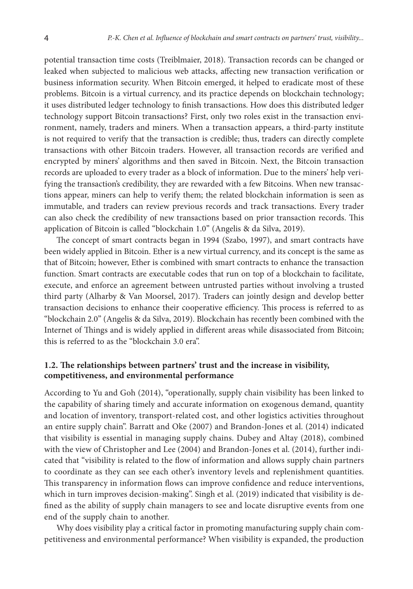potential transaction time costs (Treiblmaier, 2018). Transaction records can be changed or leaked when subjected to malicious web attacks, affecting new transaction verification or business information security. When Bitcoin emerged, it helped to eradicate most of these problems. Bitcoin is a virtual currency, and its practice depends on blockchain technology; it uses distributed ledger technology to finish transactions. How does this distributed ledger technology support Bitcoin transactions? First, only two roles exist in the transaction environment, namely, traders and miners. When a transaction appears, a third-party institute is not required to verify that the transaction is credible; thus, traders can directly complete transactions with other Bitcoin traders. However, all transaction records are verified and encrypted by miners' algorithms and then saved in Bitcoin. Next, the Bitcoin transaction records are uploaded to every trader as a block of information. Due to the miners' help verifying the transaction's credibility, they are rewarded with a few Bitcoins. When new transactions appear, miners can help to verify them; the related blockchain information is seen as immutable, and traders can review previous records and track transactions. Every trader can also check the credibility of new transactions based on prior transaction records. This application of Bitcoin is called "blockchain 1.0" (Angelis & da Silva, 2019).

The concept of smart contracts began in 1994 (Szabo, 1997), and smart contracts have been widely applied in Bitcoin. Ether is a new virtual currency, and its concept is the same as that of Bitcoin; however, Ether is combined with smart contracts to enhance the transaction function. Smart contracts are executable codes that run on top of a blockchain to facilitate, execute, and enforce an agreement between untrusted parties without involving a trusted third party (Alharby & Van Moorsel, 2017). Traders can jointly design and develop better transaction decisions to enhance their cooperative efficiency. This process is referred to as "blockchain 2.0" (Angelis & da Silva, 2019). Blockchain has recently been combined with the Internet of Things and is widely applied in different areas while disassociated from Bitcoin; this is referred to as the "blockchain 3.0 era".

## **1.2. The relationships between partners' trust and the increase in visibility, competitiveness, and environmental performance**

According to Yu and Goh (2014), "operationally, supply chain visibility has been linked to the capability of sharing timely and accurate information on exogenous demand, quantity and location of inventory, transport-related cost, and other logistics activities throughout an entire supply chain". Barratt and Oke (2007) and Brandon-Jones et al. (2014) indicated that visibility is essential in managing supply chains. Dubey and Altay (2018), combined with the view of Christopher and Lee (2004) and Brandon-Jones et al. (2014), further indicated that "visibility is related to the flow of information and allows supply chain partners to coordinate as they can see each other's inventory levels and replenishment quantities. This transparency in information flows can improve confidence and reduce interventions, which in turn improves decision-making". Singh et al. (2019) indicated that visibility is defined as the ability of supply chain managers to see and locate disruptive events from one end of the supply chain to another.

Why does visibility play a critical factor in promoting manufacturing supply chain competitiveness and environmental performance? When visibility is expanded, the production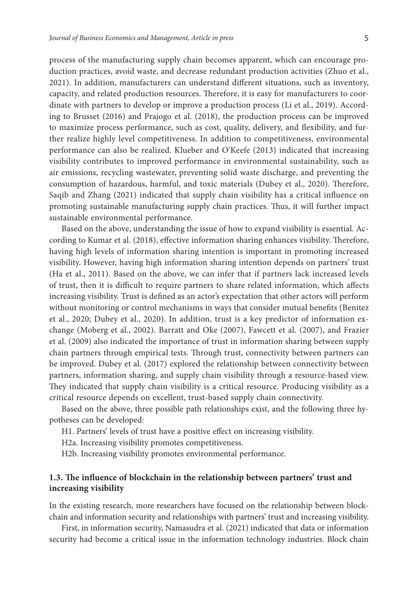process of the manufacturing supply chain becomes apparent, which can encourage production practices, avoid waste, and decrease redundant production activities (Zhuo et al., 2021). In addition, manufacturers can understand different situations, such as inventory,

capacity, and related production resources. Therefore, it is easy for manufacturers to coordinate with partners to develop or improve a production process (Li et al., 2019). According to Brusset (2016) and Prajogo et al. (2018), the production process can be improved to maximize process performance, such as cost, quality, delivery, and flexibility, and further realize highly level competitiveness. In addition to competitiveness, environmental performance can also be realized. Klueber and O'Keefe (2013) indicated that increasing visibility contributes to improved performance in environmental sustainability, such as air emissions, recycling wastewater, preventing solid waste discharge, and preventing the consumption of hazardous, harmful, and toxic materials (Dubey et al., 2020). Therefore, Saqib and Zhang (2021) indicated that supply chain visibility has a critical influence on promoting sustainable manufacturing supply chain practices. Thus, it will further impact sustainable environmental performance.

Based on the above, understanding the issue of how to expand visibility is essential. According to Kumar et al. (2018), effective information sharing enhances visibility. Therefore, having high levels of information sharing intention is important in promoting increased visibility. However, having high information sharing intention depends on partners' trust (Ha et al., 2011). Based on the above, we can infer that if partners lack increased levels of trust, then it is difficult to require partners to share related information, which affects increasing visibility. Trust is defined as an actor's expectation that other actors will perform without monitoring or control mechanisms in ways that consider mutual benefits (Benitez et al., 2020; Dubey et al., 2020). In addition, trust is a key predictor of information exchange (Moberg et al., 2002). Barratt and Oke (2007), Fawcett et al. (2007), and Frazier et al. (2009) also indicated the importance of trust in information sharing between supply chain partners through empirical tests. Through trust, connectivity between partners can be improved. Dubey et al. (2017) explored the relationship between connectivity between partners, information sharing, and supply chain visibility through a resource-based view. They indicated that supply chain visibility is a critical resource. Producing visibility as a critical resource depends on excellent, trust-based supply chain connectivity.

Based on the above, three possible path relationships exist, and the following three hypotheses can be developed:

H1. Partners' levels of trust have a positive effect on increasing visibility.

H2a. Increasing visibility promotes competitiveness.

H2b. Increasing visibility promotes environmental performance.

## **1.3. The influence of blockchain in the relationship between partners' trust and increasing visibility**

In the existing research, more researchers have focused on the relationship between blockchain and information security and relationships with partners' trust and increasing visibility.

First, in information security, Namasudra et al. (2021) indicated that data or information security had become a critical issue in the information technology industries. Block chain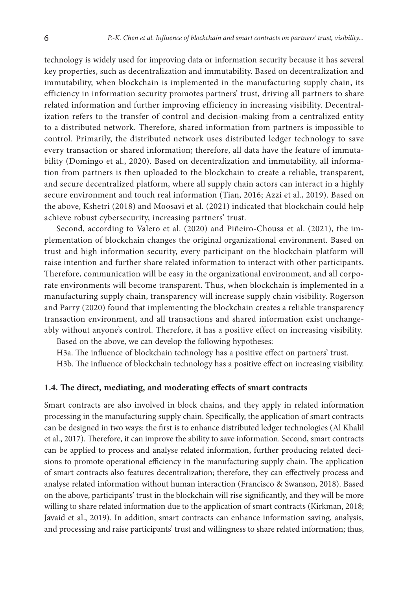technology is widely used for improving data or information security because it has several key properties, such as decentralization and immutability. Based on decentralization and immutability, when blockchain is implemented in the manufacturing supply chain, its efficiency in information security promotes partners' trust, driving all partners to share related information and further improving efficiency in increasing visibility. Decentralization refers to the transfer of control and decision-making from a centralized entity to a distributed network. Therefore, shared information from partners is impossible to control. Primarily, the distributed network uses distributed ledger technology to save every transaction or shared information; therefore, all data have the feature of immutability (Domingo et al., 2020). Based on decentralization and immutability, all information from partners is then uploaded to the blockchain to create a reliable, transparent, and secure decentralized platform, where all supply chain actors can interact in a highly secure environment and touch real information (Tian, 2016; Azzi et al., 2019). Based on the above, Kshetri (2018) and Moosavi et al. (2021) indicated that blockchain could help achieve robust cybersecurity, increasing partners' trust.

Second, according to Valero et al. (2020) and Piñeiro-Chousa et al. (2021), the implementation of blockchain changes the original organizational environment. Based on trust and high information security, every participant on the blockchain platform will raise intention and further share related information to interact with other participants. Therefore, communication will be easy in the organizational environment, and all corporate environments will become transparent. Thus, when blockchain is implemented in a manufacturing supply chain, transparency will increase supply chain visibility. Rogerson and Parry (2020) found that implementing the blockchain creates a reliable transparency transaction environment, and all transactions and shared information exist unchangeably without anyone's control. Therefore, it has a positive effect on increasing visibility.

Based on the above, we can develop the following hypotheses:

H3a. The influence of blockchain technology has a positive effect on partners' trust.

H3b. The influence of blockchain technology has a positive effect on increasing visibility.

### **1.4. The direct, mediating, and moderating effects of smart contracts**

Smart contracts are also involved in block chains, and they apply in related information processing in the manufacturing supply chain. Specifically, the application of smart contracts can be designed in two ways: the first is to enhance distributed ledger technologies (Al Khalil et al., 2017). Therefore, it can improve the ability to save information. Second, smart contracts can be applied to process and analyse related information, further producing related decisions to promote operational efficiency in the manufacturing supply chain. The application of smart contracts also features decentralization; therefore, they can effectively process and analyse related information without human interaction (Francisco & Swanson, 2018). Based on the above, participants' trust in the blockchain will rise significantly, and they will be more willing to share related information due to the application of smart contracts (Kirkman, 2018; Javaid et al., 2019). In addition, smart contracts can enhance information saving, analysis, and processing and raise participants' trust and willingness to share related information; thus,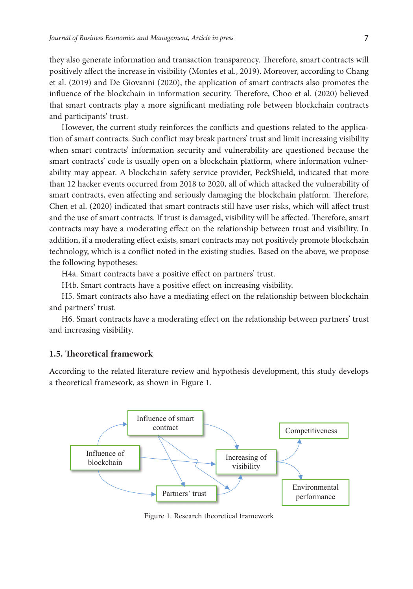they also generate information and transaction transparency. Therefore, smart contracts will positively affect the increase in visibility (Montes et al., 2019). Moreover, according to Chang et al. (2019) and De Giovanni (2020), the application of smart contracts also promotes the influence of the blockchain in information security. Therefore, Choo et al. (2020) believed that smart contracts play a more significant mediating role between blockchain contracts and participants' trust.

However, the current study reinforces the conflicts and questions related to the application of smart contracts. Such conflict may break partners' trust and limit increasing visibility when smart contracts' information security and vulnerability are questioned because the smart contracts' code is usually open on a blockchain platform, where information vulnerability may appear. A blockchain safety service provider, PeckShield, indicated that more than 12 hacker events occurred from 2018 to 2020, all of which attacked the vulnerability of smart contracts, even affecting and seriously damaging the blockchain platform. Therefore, Chen et al. (2020) indicated that smart contracts still have user risks, which will affect trust and the use of smart contracts. If trust is damaged, visibility will be affected. Therefore, smart contracts may have a moderating effect on the relationship between trust and visibility. In addition, if a moderating effect exists, smart contracts may not positively promote blockchain technology, which is a conflict noted in the existing studies. Based on the above, we propose the following hypotheses:

H4a. Smart contracts have a positive effect on partners' trust.

H4b. Smart contracts have a positive effect on increasing visibility.

H5. Smart contracts also have a mediating effect on the relationship between blockchain and partners' trust.

H6. Smart contracts have a moderating effect on the relationship between partners' trust and increasing visibility.

#### **1.5. Theoretical framework**

According to the related literature review and hypothesis development, this study develops a theoretical framework, as shown in Figure 1.



Figure 1. Research theoretical framework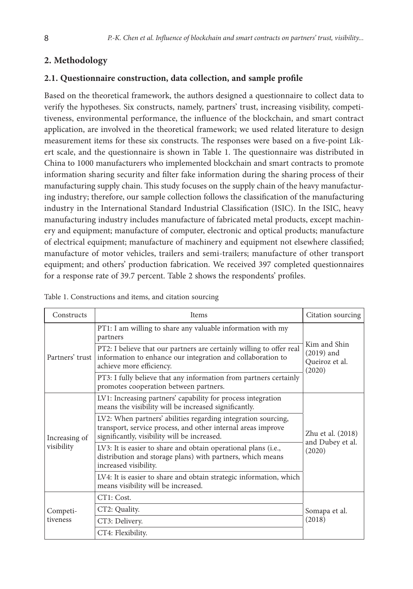# **2. Methodology**

## **2.1. Questionnaire construction, data collection, and sample profile**

Based on the theoretical framework, the authors designed a questionnaire to collect data to verify the hypotheses. Six constructs, namely, partners' trust, increasing visibility, competitiveness, environmental performance, the influence of the blockchain, and smart contract application, are involved in the theoretical framework; we used related literature to design measurement items for these six constructs. The responses were based on a five-point Likert scale, and the questionnaire is shown in Table 1. The questionnaire was distributed in China to 1000 manufacturers who implemented blockchain and smart contracts to promote information sharing security and filter fake information during the sharing process of their manufacturing supply chain. This study focuses on the supply chain of the heavy manufacturing industry; therefore, our sample collection follows the classification of the manufacturing industry in the International Standard Industrial Classification (ISIC). In the ISIC, heavy manufacturing industry includes manufacture of fabricated metal products, except machinery and equipment; manufacture of computer, electronic and optical products; manufacture of electrical equipment; manufacture of machinery and equipment not elsewhere classified; manufacture of motor vehicles, trailers and semi-trailers; manufacture of other transport equipment; and others' production fabrication. We received 397 completed questionnaires for a response rate of 39.7 percent. Table 2 shows the respondents' profiles.

| Constructs                  | <b>Items</b>                                                                                                                                                                  | Citation sourcing                                        |  |
|-----------------------------|-------------------------------------------------------------------------------------------------------------------------------------------------------------------------------|----------------------------------------------------------|--|
| Partners' trust             | PT1: I am willing to share any valuable information with my<br>partners                                                                                                       | Kim and Shin<br>$(2019)$ and<br>Queiroz et al.<br>(2020) |  |
|                             | PT2: I believe that our partners are certainly willing to offer real<br>information to enhance our integration and collaboration to<br>achieve more efficiency.               |                                                          |  |
|                             | PT3: I fully believe that any information from partners certainly<br>promotes cooperation between partners.                                                                   |                                                          |  |
| Increasing of<br>visibility | LV1: Increasing partners' capability for process integration<br>means the visibility will be increased significantly.                                                         |                                                          |  |
|                             | LV2: When partners' abilities regarding integration sourcing,<br>transport, service process, and other internal areas improve<br>significantly, visibility will be increased. | Zhu et al. (2018)                                        |  |
|                             | LV3: It is easier to share and obtain operational plans (i.e.,<br>distribution and storage plans) with partners, which means<br>increased visibility.                         | and Dubey et al.<br>(2020)                               |  |
|                             | LV4: It is easier to share and obtain strategic information, which<br>means visibility will be increased.                                                                     |                                                          |  |
| Competi-<br>tiveness        | CT1: Cost.                                                                                                                                                                    | Somapa et al.<br>(2018)                                  |  |
|                             | CT2: Quality.                                                                                                                                                                 |                                                          |  |
|                             | CT3: Delivery.                                                                                                                                                                |                                                          |  |
|                             | CT4: Flexibility.                                                                                                                                                             |                                                          |  |

Table 1. Constructions and items, and citation sourcing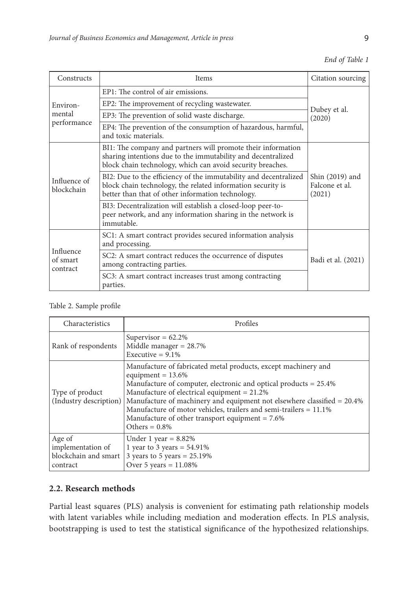|  |  | End of Table 1 |  |
|--|--|----------------|--|
|--|--|----------------|--|

| Constructs                        | <b>Items</b>                                                                                                                                                                               | Citation sourcing                           |  |
|-----------------------------------|--------------------------------------------------------------------------------------------------------------------------------------------------------------------------------------------|---------------------------------------------|--|
| Environ-<br>mental<br>performance | EP1: The control of air emissions.                                                                                                                                                         |                                             |  |
|                                   | EP2: The improvement of recycling wastewater.                                                                                                                                              | Dubey et al.<br>(2020)                      |  |
|                                   | EP3: The prevention of solid waste discharge.                                                                                                                                              |                                             |  |
|                                   | EP4: The prevention of the consumption of hazardous, harmful,<br>and toxic materials.                                                                                                      |                                             |  |
| Influence of<br>blockchain        | BI1: The company and partners will promote their information<br>sharing intentions due to the immutability and decentralized<br>block chain technology, which can avoid security breaches. |                                             |  |
|                                   | BI2: Due to the efficiency of the immutability and decentralized<br>block chain technology, the related information security is<br>better than that of other information technology.       | Shin (2019) and<br>Falcone et al.<br>(2021) |  |
|                                   | BI3: Decentralization will establish a closed-loop peer-to-<br>peer network, and any information sharing in the network is<br>immutable.                                                   |                                             |  |
| Influence<br>of smart<br>contract | SC1: A smart contract provides secured information analysis<br>and processing.                                                                                                             |                                             |  |
|                                   | SC2: A smart contract reduces the occurrence of disputes<br>among contracting parties.                                                                                                     | Badi et al. (2021)                          |  |
|                                   | SC3: A smart contract increases trust among contracting<br>parties.                                                                                                                        |                                             |  |

Table 2. Sample profile

| Characteristics                                                 | Profiles                                                                                                                                                                                                                                                                                                                                                                                                                                     |
|-----------------------------------------------------------------|----------------------------------------------------------------------------------------------------------------------------------------------------------------------------------------------------------------------------------------------------------------------------------------------------------------------------------------------------------------------------------------------------------------------------------------------|
| Rank of respondents                                             | Supervisor = $62.2\%$<br>Middle manager = $28.7\%$<br>Executive = $9.1\%$                                                                                                                                                                                                                                                                                                                                                                    |
| Type of product<br>(Industry description)                       | Manufacture of fabricated metal products, except machinery and<br>equipment = $13.6\%$<br>Manufacture of computer, electronic and optical products $= 25.4\%$<br>Manufacture of electrical equipment $= 21.2\%$<br>Manufacture of machinery and equipment not elsewhere classified = 20.4%<br>Manufacture of motor vehicles, trailers and semi-trailers = $11.1\%$<br>Manufacture of other transport equipment = $7.6\%$<br>Others = $0.8\%$ |
| Age of<br>implementation of<br>blockchain and smart<br>contract | Under 1 year = $8.82\%$<br>1 year to 3 years = $54.91\%$<br>3 years to 5 years = $25.19\%$<br>Over 5 years = $11.08\%$                                                                                                                                                                                                                                                                                                                       |

## **2.2. Research methods**

Partial least squares (PLS) analysis is convenient for estimating path relationship models with latent variables while including mediation and moderation effects. In PLS analysis, bootstrapping is used to test the statistical significance of the hypothesized relationships.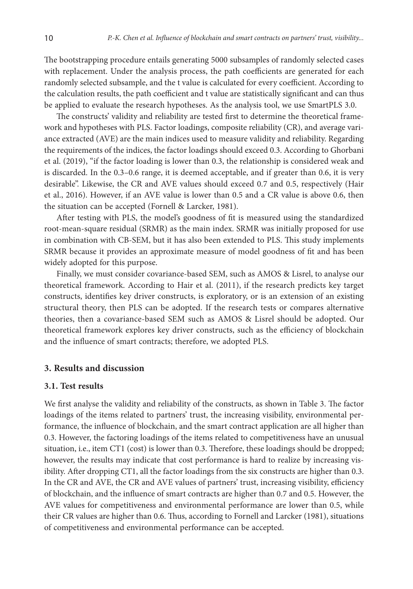The bootstrapping procedure entails generating 5000 subsamples of randomly selected cases with replacement. Under the analysis process, the path coefficients are generated for each randomly selected subsample, and the t value is calculated for every coefficient. According to the calculation results, the path coefficient and t value are statistically significant and can thus be applied to evaluate the research hypotheses. As the analysis tool, we use SmartPLS 3.0.

The constructs' validity and reliability are tested first to determine the theoretical framework and hypotheses with PLS. Factor loadings, composite reliability (CR), and average variance extracted (AVE) are the main indices used to measure validity and reliability. Regarding the requirements of the indices, the factor loadings should exceed 0.3. According to Ghorbani et al. (2019), "if the factor loading is lower than 0.3, the relationship is considered weak and is discarded. In the 0.3–0.6 range, it is deemed acceptable, and if greater than 0.6, it is very desirable". Likewise, the CR and AVE values should exceed 0.7 and 0.5, respectively (Hair et al., 2016). However, if an AVE value is lower than 0.5 and a CR value is above 0.6, then the situation can be accepted (Fornell & Larcker, 1981).

After testing with PLS, the model's goodness of fit is measured using the standardized root-mean-square residual (SRMR) as the main index. SRMR was initially proposed for use in combination with CB-SEM, but it has also been extended to PLS. This study implements SRMR because it provides an approximate measure of model goodness of fit and has been widely adopted for this purpose.

Finally, we must consider covariance-based SEM, such as AMOS & Lisrel, to analyse our theoretical framework. According to Hair et al. (2011), if the research predicts key target constructs, identifies key driver constructs, is exploratory, or is an extension of an existing structural theory, then PLS can be adopted. If the research tests or compares alternative theories, then a covariance-based SEM such as AMOS & Lisrel should be adopted. Our theoretical framework explores key driver constructs, such as the efficiency of blockchain and the influence of smart contracts; therefore, we adopted PLS.

### **3. Results and discussion**

### **3.1. Test results**

We first analyse the validity and reliability of the constructs, as shown in Table 3. The factor loadings of the items related to partners' trust, the increasing visibility, environmental performance, the influence of blockchain, and the smart contract application are all higher than 0.3. However, the factoring loadings of the items related to competitiveness have an unusual situation, i.e., item CT1 (cost) is lower than 0.3. Therefore, these loadings should be dropped; however, the results may indicate that cost performance is hard to realize by increasing visibility. After dropping CT1, all the factor loadings from the six constructs are higher than 0.3. In the CR and AVE, the CR and AVE values of partners' trust, increasing visibility, efficiency of blockchain, and the influence of smart contracts are higher than 0.7 and 0.5. However, the AVE values for competitiveness and environmental performance are lower than 0.5, while their CR values are higher than 0.6. Thus, according to Fornell and Larcker (1981), situations of competitiveness and environmental performance can be accepted.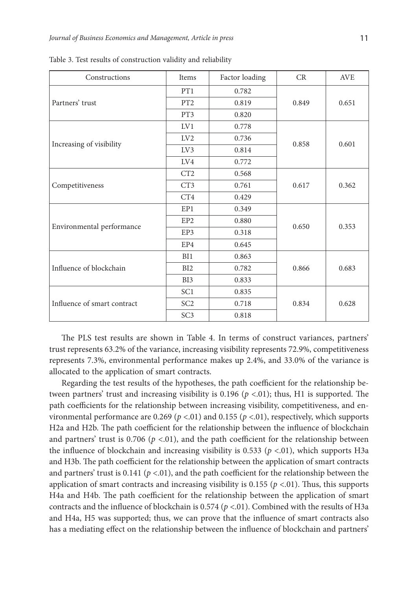| Constructions               | <b>Items</b>    | Factor loading | CR    | <b>AVE</b> |
|-----------------------------|-----------------|----------------|-------|------------|
|                             | PT1             | 0.782          |       | 0.651      |
| Partners' trust             | PT <sub>2</sub> | 0.819          | 0.849 |            |
|                             | PT3             | 0.820          |       |            |
|                             | LV1             | 0.778          | 0.858 | 0.601      |
|                             | LV2             | 0.736          |       |            |
| Increasing of visibility    | LV3             | 0.814          |       |            |
|                             | LV4             | 0.772          |       |            |
|                             | CT2             | 0.568          | 0.617 | 0.362      |
| Competitiveness             | CT <sub>3</sub> | 0.761          |       |            |
|                             | CT4             | 0.429          |       |            |
|                             | EP1             | 0.349          | 0.650 | 0.353      |
| Environmental performance   | EP <sub>2</sub> | 0.880          |       |            |
|                             | EP3             | 0.318          |       |            |
|                             | EP4             | 0.645          |       |            |
|                             | BI1             | 0.863          | 0.866 | 0.683      |
| Influence of blockchain     | BI2             | 0.782          |       |            |
|                             | BI3             | 0.833          |       |            |
|                             | SC <sub>1</sub> | 0.835          | 0.834 | 0.628      |
| Influence of smart contract | SC <sub>2</sub> | 0.718          |       |            |
|                             | SC <sub>3</sub> | 0.818          |       |            |

Table 3. Test results of construction validity and reliability

The PLS test results are shown in Table 4. In terms of construct variances, partners' trust represents 63.2% of the variance, increasing visibility represents 72.9%, competitiveness represents 7.3%, environmental performance makes up 2.4%, and 33.0% of the variance is allocated to the application of smart contracts.

Regarding the test results of the hypotheses, the path coefficient for the relationship between partners' trust and increasing visibility is 0.196 (*p* <.01); thus, H1 is supported. The path coefficients for the relationship between increasing visibility, competitiveness, and environmental performance are 0.269 ( $p$  <.01) and 0.155 ( $p$  <.01), respectively, which supports H2a and H2b. The path coefficient for the relationship between the influence of blockchain and partners' trust is 0.706  $(p < .01)$ , and the path coefficient for the relationship between the influence of blockchain and increasing visibility is 0.533 ( $p \lt 0.01$ ), which supports H3a and H3b. The path coefficient for the relationship between the application of smart contracts and partners' trust is  $0.141$  ( $p < 01$ ), and the path coefficient for the relationship between the application of smart contracts and increasing visibility is  $0.155$  ( $p < 0.01$ ). Thus, this supports H4a and H4b. The path coefficient for the relationship between the application of smart contracts and the influence of blockchain is 0.574 (*p* <.01). Combined with the results of H3a and H4a, H5 was supported; thus, we can prove that the influence of smart contracts also has a mediating effect on the relationship between the influence of blockchain and partners'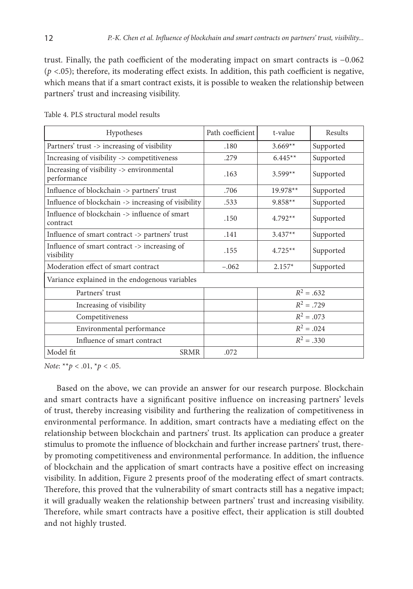trust. Finally, the path coefficient of the moderating impact on smart contracts is −0.062  $(p < .05)$ ; therefore, its moderating effect exists. In addition, this path coefficient is negative, which means that if a smart contract exists, it is possible to weaken the relationship between partners' trust and increasing visibility.

| Hypotheses                                                 | Path coefficient | t-value      | Results      |
|------------------------------------------------------------|------------------|--------------|--------------|
| Partners' trust -> increasing of visibility                | .180             | $3.669**$    | Supported    |
| Increasing of visibility -> competitiveness                | .279             | $6.445**$    | Supported    |
| Increasing of visibility -> environmental<br>performance   | .163             | $3.599**$    | Supported    |
| Influence of blockchain -> partners' trust                 | .706             | 19.978**     | Supported    |
| Influence of blockchain -> increasing of visibility        | .533             | $9.858**$    | Supported    |
| Influence of blockchain -> influence of smart<br>contract  | .150             | $4.792**$    | Supported    |
| Influence of smart contract -> partners' trust             | .141             | $3.437**$    | Supported    |
| Influence of smart contract -> increasing of<br>visibility | .155             | $4.725**$    | Supported    |
| Moderation effect of smart contract                        | $-.062$          | $2.157*$     | Supported    |
| Variance explained in the endogenous variables             |                  |              |              |
| Partners' trust                                            |                  |              | $R^2 = .632$ |
| Increasing of visibility                                   |                  | $R^2 = .729$ |              |
| Competitiveness                                            |                  | $R^2 = .073$ |              |
| Environmental performance                                  |                  |              | $R^2 = .024$ |
| Influence of smart contract                                |                  |              | $R^2 = .330$ |
| Model fit<br>SRMR                                          | .072             |              |              |

Table 4. PLS structural model results

*Note*: \*\**p* < .01, \**p* < .05.

Based on the above, we can provide an answer for our research purpose. Blockchain and smart contracts have a significant positive influence on increasing partners' levels of trust, thereby increasing visibility and furthering the realization of competitiveness in environmental performance. In addition, smart contracts have a mediating effect on the relationship between blockchain and partners' trust. Its application can produce a greater stimulus to promote the influence of blockchain and further increase partners' trust, thereby promoting competitiveness and environmental performance. In addition, the influence of blockchain and the application of smart contracts have a positive effect on increasing visibility. In addition, Figure 2 presents proof of the moderating effect of smart contracts. Therefore, this proved that the vulnerability of smart contracts still has a negative impact; it will gradually weaken the relationship between partners' trust and increasing visibility. Therefore, while smart contracts have a positive effect, their application is still doubted and not highly trusted.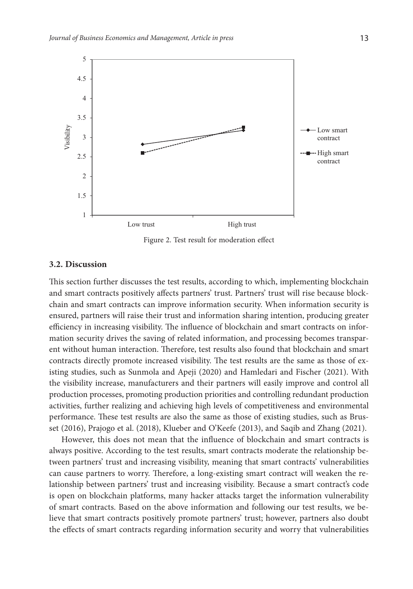

Figure 2. Test result for moderation effect

#### **3.2. Discussion**

This section further discusses the test results, according to which, implementing blockchain and smart contracts positively affects partners' trust. Partners' trust will rise because blockchain and smart contracts can improve information security. When information security is ensured, partners will raise their trust and information sharing intention, producing greater efficiency in increasing visibility. The influence of blockchain and smart contracts on information security drives the saving of related information, and processing becomes transparent without human interaction. Therefore, test results also found that blockchain and smart contracts directly promote increased visibility. The test results are the same as those of existing studies, such as Sunmola and Apeji (2020) and Hamledari and Fischer (2021). With the visibility increase, manufacturers and their partners will easily improve and control all production processes, promoting production priorities and controlling redundant production activities, further realizing and achieving high levels of competitiveness and environmental performance. These test results are also the same as those of existing studies, such as Brusset (2016), Prajogo et al. (2018), Klueber and O'Keefe (2013), and Saqib and Zhang (2021).

However, this does not mean that the influence of blockchain and smart contracts is always positive. According to the test results, smart contracts moderate the relationship between partners' trust and increasing visibility, meaning that smart contracts' vulnerabilities can cause partners to worry. Therefore, a long-existing smart contract will weaken the relationship between partners' trust and increasing visibility. Because a smart contract's code is open on blockchain platforms, many hacker attacks target the information vulnerability of smart contracts. Based on the above information and following our test results, we believe that smart contracts positively promote partners' trust; however, partners also doubt the effects of smart contracts regarding information security and worry that vulnerabilities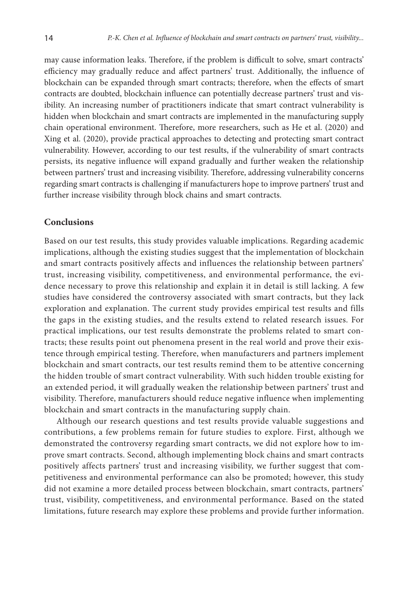may cause information leaks. Therefore, if the problem is difficult to solve, smart contracts' efficiency may gradually reduce and affect partners' trust. Additionally, the influence of blockchain can be expanded through smart contracts; therefore, when the effects of smart contracts are doubted, blockchain influence can potentially decrease partners' trust and visibility. An increasing number of practitioners indicate that smart contract vulnerability is hidden when blockchain and smart contracts are implemented in the manufacturing supply chain operational environment. Therefore, more researchers, such as He et al. (2020) and Xing et al. (2020), provide practical approaches to detecting and protecting smart contract vulnerability. However, according to our test results, if the vulnerability of smart contracts persists, its negative influence will expand gradually and further weaken the relationship between partners' trust and increasing visibility. Therefore, addressing vulnerability concerns regarding smart contracts is challenging if manufacturers hope to improve partners' trust and further increase visibility through block chains and smart contracts.

### **Conclusions**

Based on our test results, this study provides valuable implications. Regarding academic implications, although the existing studies suggest that the implementation of blockchain and smart contracts positively affects and influences the relationship between partners' trust, increasing visibility, competitiveness, and environmental performance, the evidence necessary to prove this relationship and explain it in detail is still lacking. A few studies have considered the controversy associated with smart contracts, but they lack exploration and explanation. The current study provides empirical test results and fills the gaps in the existing studies, and the results extend to related research issues. For practical implications, our test results demonstrate the problems related to smart contracts; these results point out phenomena present in the real world and prove their existence through empirical testing. Therefore, when manufacturers and partners implement blockchain and smart contracts, our test results remind them to be attentive concerning the hidden trouble of smart contract vulnerability. With such hidden trouble existing for an extended period, it will gradually weaken the relationship between partners' trust and visibility. Therefore, manufacturers should reduce negative influence when implementing blockchain and smart contracts in the manufacturing supply chain.

Although our research questions and test results provide valuable suggestions and contributions, a few problems remain for future studies to explore. First, although we demonstrated the controversy regarding smart contracts, we did not explore how to improve smart contracts. Second, although implementing block chains and smart contracts positively affects partners' trust and increasing visibility, we further suggest that competitiveness and environmental performance can also be promoted; however, this study did not examine a more detailed process between blockchain, smart contracts, partners' trust, visibility, competitiveness, and environmental performance. Based on the stated limitations, future research may explore these problems and provide further information.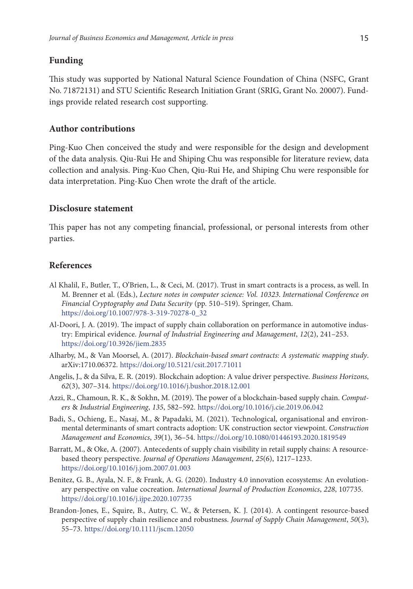## **Funding**

This study was supported by National Natural Science Foundation of China (NSFC, Grant No. 71872131) and STU Scientific Research Initiation Grant (SRIG, Grant No. 20007). Fundings provide related research cost supporting.

## **Author contributions**

Ping-Kuo Chen conceived the study and were responsible for the design and development of the data analysis. Qiu-Rui He and Shiping Chu was responsible for literature review, data collection and analysis. Ping-Kuo Chen, Qiu-Rui He, and Shiping Chu were responsible for data interpretation. Ping-Kuo Chen wrote the draft of the article.

### **Disclosure statement**

This paper has not any competing financial, professional, or personal interests from other parties.

### **References**

- Al Khalil, F., Butler, T., O'Brien, L., & Ceci, M. (2017). Trust in smart contracts is a process, as well. In M. Brenner et al. (Eds.), *Lecture notes in computer science: Vol. 10323*. *International Conference on Financial Cryptography and Data Security* (pp. 510–519). Springer, Cham. [https://doi.org/10.1007/978-3-319-70278-0\\_32](https://doi.org/10.1007/978-3-319-70278-0_32)
- Al-Doori, J. A. (2019). The impact of supply chain collaboration on performance in automotive industry: Empirical evidence. *Journal of Industrial Engineering and Management*, *12*(2), 241–253. <https://doi.org/10.3926/jiem.2835>
- Alharby, M., & Van Moorsel, A. (2017). *Blockchain-based smart contracts: A systematic mapping study*. arXiv:1710.06372. <https://doi.org/10.5121/csit.2017.71011>
- Angelis, J., & da Silva, E. R. (2019). Blockchain adoption: A value driver perspective. *Business Horizons*, *62*(3), 307–314. <https://doi.org/10.1016/j.bushor.2018.12.001>
- Azzi, R., Chamoun, R. K., & Sokhn, M. (2019). The power of a blockchain-based supply chain. *Computers* & *Industrial Engineering*, *135*, 582–592. <https://doi.org/10.1016/j.cie.2019.06.042>
- Badi, S., Ochieng, E., Nasaj, M., & Papadaki, M. (2021). Technological, organisational and environmental determinants of smart contracts adoption: UK construction sector viewpoint. *Construction Management and Economics*, *39*(1), 36–54.<https://doi.org/10.1080/01446193.2020.1819549>
- Barratt, M., & Oke, A. (2007). Antecedents of supply chain visibility in retail supply chains: A resourcebased theory perspective. *Journal of Operations Management*, *25*(6), 1217–1233. <https://doi.org/10.1016/j.jom.2007.01.003>
- Benitez, G. B., Ayala, N. F., & Frank, A. G. (2020). Industry 4.0 innovation ecosystems: An evolutionary perspective on value cocreation. *International Journal of Production Economics*, *228*, 107735. <https://doi.org/10.1016/j.ijpe.2020.107735>
- Brandon‐Jones, E., Squire, B., Autry, C. W., & Petersen, K. J. (2014). A contingent resource‐based perspective of supply chain resilience and robustness. *Journal of Supply Chain Management*, *50*(3), 55–73. <https://doi.org/10.1111/jscm.12050>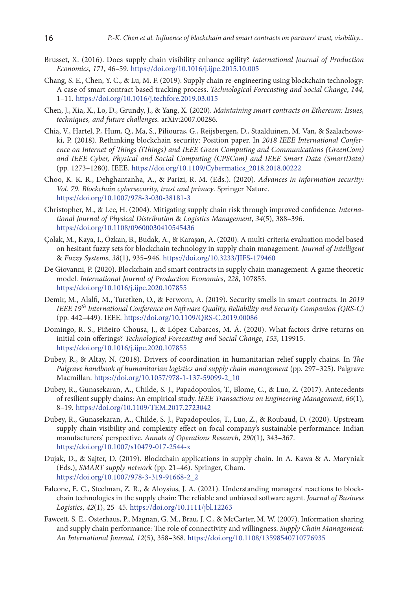- Brusset, X. (2016). Does supply chain visibility enhance agility? *International Journal of Production Economics*, *171*, 46–59. <https://doi.org/10.1016/j.ijpe.2015.10.005>
- Chang, S. E., Chen, Y. C., & Lu, M. F. (2019). Supply chain re-engineering using blockchain technology: A case of smart contract based tracking process. *Technological Forecasting and Social Change*, *144*, 1–11. <https://doi.org/10.1016/j.techfore.2019.03.015>
- Chen, J., Xia, X., Lo, D., Grundy, J., & Yang, X. (2020). *Maintaining smart contracts on Ethereum: Issues, techniques, and future challenges.* arXiv:2007.00286.
- Chia, V., Hartel, P., Hum, Q., Ma, S., Piliouras, G., Reijsbergen, D., Staalduinen, M. Van, & Szalachowski, P. (2018). Rethinking blockchain security: Position paper. In *2018 IEEE International Conference on Internet of Things (iThings) and IEEE Green Computing and Communications (GreenCom) and IEEE Cyber, Physical and Social Computing (CPSCom) and IEEE Smart Data (SmartData)*  (pp. 1273–1280). IEEE. [https://doi.org/10.1109/Cybermatics\\_2018.2018.00222](https://doi.org/10.1109/Cybermatics_2018.2018.00222)
- Choo, K. K. R., Dehghantanha, A., & Parizi, R. M. (Eds.). (2020). *Advances in information security: Vol. 79. Blockchain cybersecurity, trust and privacy*. Springer Nature. <https://doi.org/10.1007/978-3-030-38181-3>
- Christopher, M., & Lee, H. (2004). Mitigating supply chain risk through improved confidence. *International Journal of Physical Distribution* & *Logistics Management*, *34*(5), 388–396. <https://doi.org/10.1108/09600030410545436>
- Çolak, M., Kaya, I., Özkan, B., Budak, A., & Karaşan, A. (2020). A multi-criteria evaluation model based on hesitant fuzzy sets for blockchain technology in supply chain management. *Journal of Intelligent*  & *Fuzzy Systems*, *38*(1), 935–946. <https://doi.org/10.3233/JIFS-179460>
- De Giovanni, P. (2020). Blockchain and smart contracts in supply chain management: A game theoretic model. *International Journal of Production Economics*, *228*, 107855. <https://doi.org/10.1016/j.ijpe.2020.107855>
- Demir, M., Alalfi, M., Turetken, O., & Ferworn, A. (2019). Security smells in smart contracts. In *2019 IEEE 19th International Conference on Software Quality, Reliability and Security Companion (QRS-C)* (pp. 442–449). IEEE. <https://doi.org/10.1109/QRS-C.2019.00086>
- Domingo, R. S., Piñeiro-Chousa, J., & López-Cabarcos, M. Á. (2020). What factors drive returns on initial coin offerings? *Technological Forecasting and Social Change*, *153*, 119915. <https://doi.org/10.1016/j.ijpe.2020.107855>
- Dubey, R., & Altay, N. (2018). Drivers of coordination in humanitarian relief supply chains. In *The Palgrave handbook of humanitarian logistics and supply chain management* (pp. 297–325). Palgrave Macmillan. [https://doi.org/10.1057/978-1-137-59099-2\\_10](https://doi.org/10.1057/978-1-137-59099-2_10)
- Dubey, R., Gunasekaran, A., Childe, S. J., Papadopoulos, T., Blome, C., & Luo, Z. (2017). Antecedents of resilient supply chains: An empirical study. *IEEE Transactions on Engineering Management*, *66*(1), 8–19. <https://doi.org/10.1109/TEM.2017.2723042>
- Dubey, R., Gunasekaran, A., Childe, S. J., Papadopoulos, T., Luo, Z., & Roubaud, D. (2020). Upstream supply chain visibility and complexity effect on focal company's sustainable performance: Indian manufacturers' perspective. *Annals of Operations Research*, *290*(1), 343–367. <https://doi.org/10.1007/s10479-017-2544-x>
- Dujak, D., & Sajter, D. (2019). Blockchain applications in supply chain. In A. Kawa & A. Maryniak (Eds.), *SMART supply network* (pp. 21–46). Springer, Cham. [https://doi.org/10.1007/978-3-319-91668-2\\_2](https://doi.org/10.1007/978-3-319-91668-2_2)
- Falcone, E. C., Steelman, Z. R., & Aloysius, J. A. (2021). Understanding managers' reactions to blockchain technologies in the supply chain: The reliable and unbiased software agent. *Journal of Business Logistics*, *42*(1), 25–45. <https://doi.org/10.1111/jbl.12263>
- Fawcett, S. E., Osterhaus, P., Magnan, G. M., Brau, J. C., & McCarter, M. W. (2007). Information sharing and supply chain performance: The role of connectivity and willingness. *Supply Chain Management: An International Journal*, *12*(5), 358–368. <https://doi.org/10.1108/13598540710776935>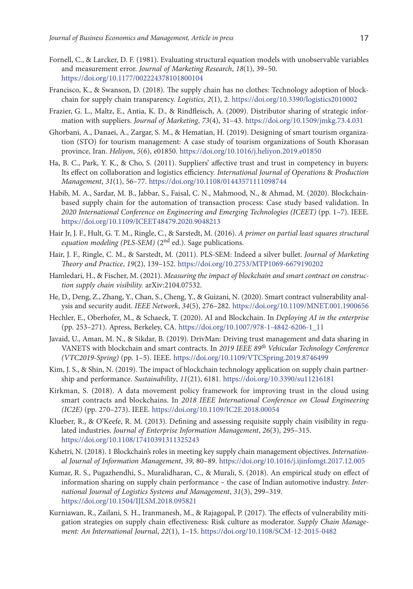- Fornell, C., & Larcker, D. F. (1981). Evaluating structural equation models with unobservable variables and measurement error. *Journal of Marketing Research*, *18*(1), 39–50. <https://doi.org/10.1177/002224378101800104>
- Francisco, K., & Swanson, D. (2018). The supply chain has no clothes: Technology adoption of blockchain for supply chain transparency. *Logistics*, *2*(1), 2. <https://doi.org/10.3390/logistics2010002>
- Frazier, G. L., Maltz, E., Antia, K. D., & Rindfleisch, A. (2009). Distributor sharing of strategic information with suppliers. *Journal of Marketing*, *73*(4), 31–43. <https://doi.org/10.1509/jmkg.73.4.031>
- Ghorbani, A., Danaei, A., Zargar, S. M., & Hematian, H. (2019). Designing of smart tourism organization (STO) for tourism management: A case study of tourism organizations of South Khorasan province, Iran. *Heliyon*, *5*(6), e01850. <https://doi.org/10.1016/j.heliyon.2019.e01850>
- Ha, B. C., Park, Y. K., & Cho, S. (2011). Suppliers' affective trust and trust in competency in buyers: Its effect on collaboration and logistics efficiency. *International Journal of Operations* & *Production Management*, *31*(1), 56–77. <https://doi.org/10.1108/01443571111098744>
- Habib, M. A., Sardar, M. B., Jabbar, S., Faisal, C. N., Mahmood, N., & Ahmad, M. (2020). Blockchainbased supply chain for the automation of transaction process: Case study based validation. In *2020 International Conference on Engineering and Emerging Technologies (ICEET)* (pp. 1–7). IEEE. <https://doi.org/10.1109/ICEET48479.2020.9048213>
- Hair Jr, J. F., Hult, G. T. M., Ringle, C., & Sarstedt, M. (2016). *A primer on partial least squares structural equation modeling (PLS-SEM)* (2<sup>nd</sup> ed.). Sage publications.
- Hair, J. F., Ringle, C. M., & Sarstedt, M. (2011). PLS-SEM: Indeed a silver bullet. *Journal of Marketing Theory and Practice*, *19*(2), 139–152. <https://doi.org/10.2753/MTP1069-6679190202>
- Hamledari, H., & Fischer, M. (2021). *Measuring the impact of blockchain and smart contract on construction supply chain visibility.* arXiv:2104.07532.
- He, D., Deng, Z., Zhang, Y., Chan, S., Cheng, Y., & Guizani, N. (2020). Smart contract vulnerability analysis and security audit. *IEEE Network*, *34*(5), 276–282. <https://doi.org/10.1109/MNET.001.1900656>
- Hechler, E., Oberhofer, M., & Schaeck, T. (2020). AI and Blockchain. In *Deploying AI in the enterprise* (pp. 253–271). Apress, Berkeley, CA. [https://doi.org/10.1007/978-1-4842-6206-1\\_11](https://doi.org/10.1007/978-1-4842-6206-1_11)
- Javaid, U., Aman, M. N., & Sikdar, B. (2019). DrivMan: Driving trust management and data sharing in VANETS with blockchain and smart contracts. In *2019 IEEE 89th Vehicular Technology Conference (VTC2019-Spring)* (pp. 1–5). IEEE. <https://doi.org/10.1109/VTCSpring.2019.8746499>
- Kim, J. S., & Shin, N. (2019). The impact of blockchain technology application on supply chain partnership and performance. *Sustainability*, *11*(21), 6181. <https://doi.org/10.3390/su11216181>
- Kirkman, S. (2018). A data movement policy framework for improving trust in the cloud using smart contracts and blockchains. In *2018 IEEE International Conference on Cloud Engineering (IC2E)* (pp. 270–273). IEEE. <https://doi.org/10.1109/IC2E.2018.00054>
- Klueber, R., & O'Keefe, R. M. (2013). Defining and assessing requisite supply chain visibility in regulated industries. *Journal of Enterprise Information Management*, *26*(3), 295–315. <https://doi.org/10.1108/17410391311325243>
- Kshetri, N. (2018). 1 Blockchain's roles in meeting key supply chain management objectives. *International Journal of Information Management*, *39*, 80–89. <https://doi.org/10.1016/j.ijinfomgt.2017.12.005>
- Kumar, R. S., Pugazhendhi, S., Muralidharan, C., & Murali, S. (2018). An empirical study on effect of information sharing on supply chain performance – the case of Indian automotive industry. *International Journal of Logistics Systems and Management*, *31*(3), 299–319. <https://doi.org/10.1504/IJLSM.2018.095821>
- Kurniawan, R., Zailani, S. H., Iranmanesh, M., & Rajagopal, P. (2017). The effects of vulnerability mitigation strategies on supply chain effectiveness: Risk culture as moderator. *Supply Chain Management: An International Journal*, *22*(1), 1–15. <https://doi.org/10.1108/SCM-12-2015-0482>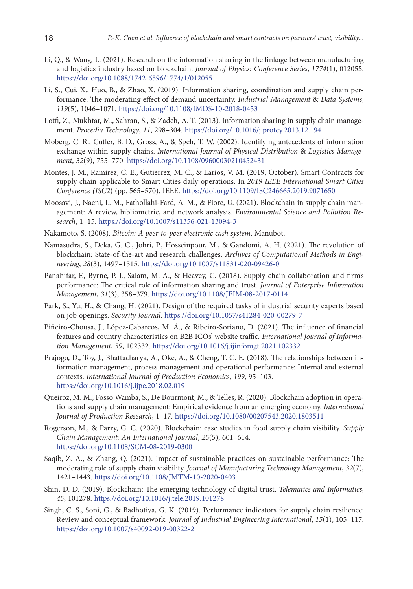- Li, Q., & Wang, L. (2021). Research on the information sharing in the linkage between manufacturing and logistics industry based on blockchain. *Journal of Physics: Conference Series*, *1774*(1), 012055. <https://doi.org/10.1088/1742-6596/1774/1/012055>
- Li, S., Cui, X., Huo, B., & Zhao, X. (2019). Information sharing, coordination and supply chain performance: The moderating effect of demand uncertainty. *Industrial Management* & *Data Systems*, *119*(5), 1046–1071. <https://doi.org/10.1108/IMDS-10-2018-0453>
- Lotfi, Z., Mukhtar, M., Sahran, S., & Zadeh, A. T. (2013). Information sharing in supply chain management. *Procedia Technology*, *11*, 298–304. <https://doi.org/10.1016/j.protcy.2013.12.194>
- Moberg, C. R., Cutler, B. D., Gross, A., & Speh, T. W. (2002). Identifying antecedents of information exchange within supply chains. *International Journal of Physical Distribution* & *Logistics Management*, *32*(9), 755–770.<https://doi.org/10.1108/09600030210452431>
- Montes, J. M., Ramirez, C. E., Gutierrez, M. C., & Larios, V. M. (2019, October). Smart Contracts for supply chain applicable to Smart Cities daily operations. In *2019 IEEE International Smart Cities Conference (ISC2*) (pp. 565–570). IEEE. <https://doi.org/10.1109/ISC246665.2019.9071650>
- Moosavi, J., Naeni, L. M., Fathollahi-Fard, A. M., & Fiore, U. (2021). Blockchain in supply chain management: A review, bibliometric, and network analysis. *Environmental Science and Pollution Research*, 1–15. <https://doi.org/10.1007/s11356-021-13094-3>
- Nakamoto, S. (2008). *Bitcoin: A peer-to-peer electronic cash system*. Manubot.
- Namasudra, S., Deka, G. C., Johri, P., Hosseinpour, M., & Gandomi, A. H. (2021). The revolution of blockchain: State-of-the-art and research challenges. *Archives of Computational Methods in Engineering*, *28*(3), 1497–1515. <https://doi.org/10.1007/s11831-020-09426-0>
- Panahifar, F., Byrne, P. J., Salam, M. A., & Heavey, C. (2018). Supply chain collaboration and firm's performance: The critical role of information sharing and trust. *Journal of Enterprise Information Management*, *31*(3), 358–379. <https://doi.org/10.1108/JEIM-08-2017-0114>
- Park, S., Yu, H., & Chang, H. (2021). Design of the required tasks of industrial security experts based on job openings. *Security Journal*. <https://doi.org/10.1057/s41284-020-00279-7>
- Piñeiro-Chousa, J., López-Cabarcos, M. Á., & Ribeiro-Soriano, D. (2021). The influence of financial features and country characteristics on B2B ICOs' website traffic. *International Journal of Information Management*, *59*, 102332. <https://doi.org/10.1016/j.ijinfomgt.2021.102332>
- Prajogo, D., Toy, J., Bhattacharya, A., Oke, A., & Cheng, T. C. E. (2018). The relationships between information management, process management and operational performance: Internal and external contexts. *International Journal of Production Economics*, *199*, 95–103. <https://doi.org/10.1016/j.ijpe.2018.02.019>
- Queiroz, M. M., Fosso Wamba, S., De Bourmont, M., & Telles, R. (2020). Blockchain adoption in operations and supply chain management: Empirical evidence from an emerging economy. *International Journal of Production Research*, 1–17. <https://doi.org/10.1080/00207543.2020.1803511>
- Rogerson, M., & Parry, G. C. (2020). Blockchain: case studies in food supply chain visibility. *Supply Chain Management: An International Journal*, *25*(5), 601–614. <https://doi.org/10.1108/SCM-08-2019-0300>
- Saqib, Z. A., & Zhang, Q. (2021). Impact of sustainable practices on sustainable performance: The moderating role of supply chain visibility. *Journal of Manufacturing Technology Management*, *32*(7), 1421–1443. <https://doi.org/10.1108/JMTM-10-2020-0403>
- Shin, D. D. (2019). Blockchain: The emerging technology of digital trust. *Telematics and Informatics*, *45*, 101278. <https://doi.org/10.1016/j.tele.2019.101278>
- Singh, C. S., Soni, G., & Badhotiya, G. K. (2019). Performance indicators for supply chain resilience: Review and conceptual framework. *Journal of Industrial Engineering International*, *15*(1), 105–117. <https://doi.org/10.1007/s40092-019-00322-2>